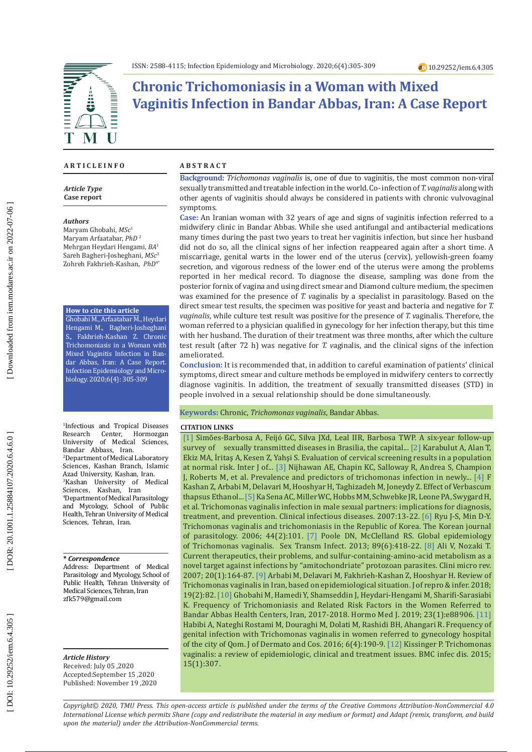

# **Chronic Trichomoniasis in a Woman with Mixed Vaginitis Infection in Bandar Abbas, Iran: A Case Report**

#### **A R T I C L E I N F O**

*Article Type* **Case report**

#### *Authors*

Maryam Ghobahi, *MSc* 1 Maryam Arfaatabar, *PhD* 2 Mehrgan Heydari Hengami, *BA* 1 Sareh Bagheri-Josheghani, *MSc* 3 Zohreh Fakhrieh-Kashan, *PhD*4\*

#### **How to cite this article**

Ghobahi M., Arfaatabar M., Heydari Hengami M., Bagheri-Josheghani S., Fakhrieh-Kashan Z. Chronic Trichomoniasis in a Woman with Mixed Vaginitis Infection in Ban dar Abbas, Iran: A Case Report. Infection Epidemiology and Micro biology. 2020;6(4): 305-309

1 Infectious and Tropical Diseases Research Center, Hormozgan University of Medical Sciences, Bandar Abbass, Iran . 2 Department of Medical Laboratory Sciences, Kashan Branch, Islamic Azad University, Kashan, Iran . 3 Kashan University of Medical Sciences, Kashan, Iran 4 Department of Medical Parasitology and Mycology, School of Public Health, Tehran University of Medical Sciences, Tehran, Iran.

#### **\*** *Correspondence*

Address: Department of Medical Parasitology and Mycology, School of Public Health, Tehran University of Medical Sciences, Tehran, Iran zfk579 @gmail .com

*Article History* Received: July 05 ,2020 Accepted:September 15 ,2020 Published: November 19 ,2020

#### **A B S T R A C T**

**Background:** *Trichomonas vaginalis* is, one of due to vaginitis, the most common non-viral sexually transmitted and treatable infection in the world. Co- infection of *T. vaginalis* along with other agents of vaginitis should always be considered in patients with chronic vulvovaginal symptoms .

**Case:** An Iranian woman with 32 years of age and signs of vaginitis infection referred to a midwifery clinic in Bandar Abbas. While she used antifungal and antibacterial medications many times during the past two years to treat her vaginitis infection, but since her husband did not do so, all the clinical signs of her infection reappeared again after a short time. A miscarriage, genital warts in the lower end of the uterus (cervix), yellowish-green foamy secretion, and vigorous redness of the lower end of the uterus were among the problems reported in her medical record. To diagnose the disease, sampling was done from the posterior fornix of vagina and using direct smear and Diamond culture medium, the specimen was examined for the presence of *T. v*aginalis by a specialist in parasitology. Based on the direct smear test results, the specimen was positive for yeast and bacteria and negative for *T. vaginalis*, while culture test result was positive for the presence of *T. v*aginalis. Therefore, the woman referred to a physician qualified in gynecology for her infection therapy, but this time with her husband. The duration of their treatment was three months, after which the culture test result (after 72 h) was negative for *T. v*aginalis, and the clinical signs of the infection ameliorated.

**Conclusion:** It is recommended that, in addition to careful examination of patients' clinical symptoms, direct smear and culture methods be employed in midwifery centers to correctly diagnose vaginitis. In addition, the treatment of sexually transmitted diseases (STD) in people involved in a sexual relationship should be done simultaneously.

#### **Keywords:** Chronic, *Trichomonas vaginalis*, Bandar Abbas.

#### **CITATION LINKS**

[1] Simões-Barbosa A, Feijó GC, Silva JXd, Leal IIR, Barbosa TWP. A six-year follow-up survey of sexually transmitted diseases in Brasilia, the capital... [\[2\]](https://www.sciencedirect.com/science/article/pii/S0020729210001098) Karabulut A, Alan T, Ekiz MA, İritaş A, Kesen Z, Yahşi S. Evaluation of cervical screening results in a population at normal risk. Inter J of... [\[3\]](https://www.ncbi.nlm.nih.gov/pmc/articles/PMC3878291/) Nijhawan AE, Chapin KC, Salloway R, Andrea S, Champion J, Roberts M, et al. Prevalence and predictors of trichomonas infection in newly... [\[4\]](https://www.ingentaconnect.com/content/ben/iddt/2015/00000015/00000002/art00008) F Kashan Z, Arbabi M, Delavari M, Hooshyar H, Taghizadeh M, Joneydy Z. Effect of Verbascum thapsus Ethanol... [\[5\]](https://www.jstor.org/stable/4485189) Ka Sena AC, Miller WC, Hobbs MM, Schwebke JR, Leone PA, Swygard H, et al. Trichomonas vaginalis infection in male sexual partners: implications for diagnosis, treatment, and prevention. Clinical infectious diseases. 2007:13-22. [\[6\]](https://www.ncbi.nlm.nih.gov/pmc/articles/PMC2532633/) Ryu J-S, Min D-Y. Trichomonas vaginalis and trichomoniasis in the Republic of Korea. The Korean journal of parasitology. 2006; 44(2):101. [\[7\]](https://pubmed.ncbi.nlm.nih.gov/23744960/) Poole DN, McClelland RS. Global epidemiology of Trichomonas vaginalis. Sex Transm Infect. 2013; 89(6):418-22. [\[8\]](https://cmr.asm.org/content/20/1/164.short) Ali V, Nozaki T. Current therapeutics, their problems, and sulfur-containing-amino-acid metabolism as a novel target against infections by "amitochondriate" protozoan parasites. Clini micro rev. 2007; 20(1):164-87. [\[9\]](https://www.ncbi.nlm.nih.gov/pmc/articles/PMC6010820/) Arbabi M, Delavari M, Fakhrieh-Kashan Z, Hooshyar H. Review of Trichomonas vaginalis in Iran, based on epidemiological situation. J of repro & infer. 2018; 19(2):82. [\[10\]](http://eprints.hums.ac.ir/6373/) Ghobahi M, Hamedi Y, Shamseddin J, Heydari-Hengami M, Sharifi-Sarasiabi K. Frequency of Trichomoniasis and Related Risk Factors in the Women Referred to Bandar Abbas Health Centers, Iran, 2017-2018. Hormo Med J. 2019; 23(1):e88906. [\[11\]](http://jdc.tums.ac.ir/browse.php?a_id=5158&slc_lang=en&sid=1&printcase=1&hbnr=1&hmb=1) Habibi A, Nateghi Rostami M, Douraghi M, Dolati M, Rashidi BH, Ahangari R. Frequency of genital infection with Trichomonas vaginalis in women referred to gynecology hospital of the city of Qom. J of Dermato and Cos. 2016; 6(4):190-9. [\[12\]](https://bmcinfectdis.biomedcentral.com/articles/10.1186/s12879-015-1055-0) Kissinger P. Trichomonas vaginalis: a review of epidemiologic, clinical and treatment issues. BMC infec dis. 2015; 15(1):307.

*Copyright© 2020, TMU Press. This open-access article is published under the terms of the Creative Commons Attribution-NonCommercial 4.0 International License which permits Share (copy and redistribute the material in any medium or format) and Adapt (remix, transform, and build upon the material) under the Attribution-NonCommercial terms.*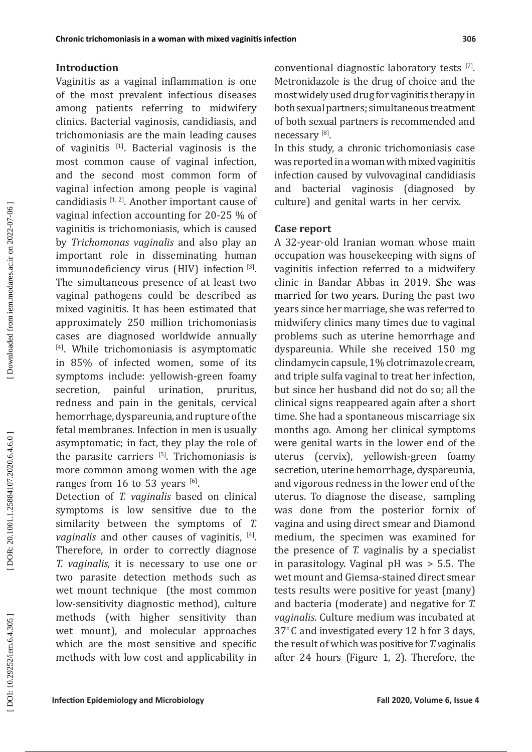### **Introduction**

Vaginitis as a vaginal inflammation is one of the most prevalent infectious diseases among patients referring to midwifery clinics. Bacterial vaginosis, candidiasis, and trichomoniasis are the main leading causes of vaginitis [1]. Bacterial vaginosis is the most common cause of vaginal infection, and the second most common form of vaginal infection among people is vaginal candidiasis  $[1, 2]$ . Another important cause of vaginal infection accounting for 20-25 % of vaginitis is trichomoniasis, which is caused by *Trichomonas vaginalis* and also play an important role in disseminating human immunodeficiency virus (H IV) infection [3]. The simultaneous presence of at least two vaginal pathogens could be described as mixed vaginitis. It has been estimated that approximately 250 million trichomoniasis cases are diagnosed worldwide annually [4]. While trichomoniasis is asymptomatic in 85% of infected women, some of its symptoms include: yellowish-green foamy secretion, painful urination, pruritus, redness and pain in the genitals, cervical hemorrhage, dyspareunia, and rupture of the fetal membranes. Infection in men is usually asymptomatic; in fact, they play the role of the parasite carriers  $[5]$ . Trichomoniasis is more common among women with the age ranges from 16 to 53 years  $[6]$ .

Detection of *T. vaginalis* based on clinical symptoms is low sensitive due to the similarity between the symptoms of *T.*  vaginalis and other causes of vaginitis, <sup>[4]</sup>. Therefore, in order to correctly diagnose *T. vaginalis,* it is necessary to use one or two parasite detection methods such as wet mount technique (the most common low-sensitivity diagnostic method), culture methods (with higher sensitivity than wet mount), and molecular approaches which are the most sensitive and specific methods with low cost and applicability in conventional diagnostic laboratory tests  $[7]$ . Metronidazole is the drug of choice and the most widely used drug for vaginitis therapy in both sexual partners; simultaneous treatment of both sexual partners is recommended and necessary [8].

In this study, a chronic trichomoniasis case was reported in a woman with mixed vaginitis infection caused by vulvovaginal candidiasis and bacterial vaginosis (diagnosed by culture) and genital warts in her cervix.

### **Case report**

A 32-year-old Iranian woman whose main occupation was housekeeping with signs of vaginitis infection referred to a midwifery clinic in Bandar Abbas in 2019. She was married for two years. During the past two years since her marriage, she was referred to midwifery clinics many times due to vaginal problems such as uterine hemorrhage and dyspareunia. While she received 150 mg clindamycin capsule, 1% clotrimazole cream, and triple sulfa vaginal to treat her infection, but since her husband did not do so; all the clinical signs reappeared again after a short time. She had a spontaneous miscarriage six months ago. Among her clinical symptoms were genital warts in the lower end of the uterus (cervix), yellowish-green foamy secretion, uterine hemorrhage, dyspareunia, and vigorous redness in the lower end of the uterus. To diagnose the disease, sampling was done from the posterior fornix of vagina and using direct smear and Diamond medium, the specimen was examined for the presence of *T. v*aginalis by a specialist in parasitology. Vaginal pH was > 5.5. The wet mount and Giemsa-stained direct smear tests results were positive for yeast (many) and bacteria (moderate) and negative for *T. vaginalis*. Culture medium was incubated at  $37^{\circ}$ C and investigated every 12 h for 3 days, the result of which was positive for *T. v*aginalis after 24 hours (Figure 1, 2). Therefore, the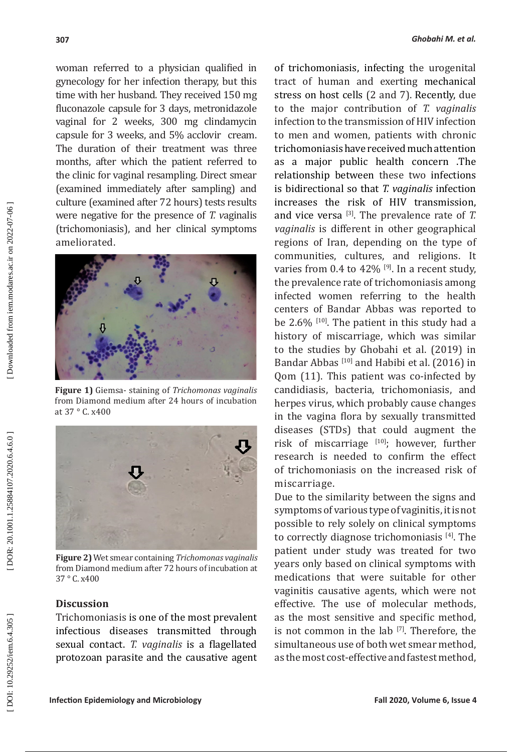woman referred to a physician qualified in gynecology for her infection therapy, but this time with her husband. They received 150 mg fluconazole capsule for 3 days, metronidazole vaginal for 2 weeks, 300 mg clindamycin capsule for 3 weeks, and 5% acclovir cream. The duration of their treatment was three months, after which the patient referred to the clinic for vaginal resampling. Direct smear (examined immediately after sampling) and culture (examined after 72 hours) tests results were negative for the presence of *T. v*aginalis (trichomoniasis), and her clinical symptoms ameliorated.



**Figure 1)** Giemsa - staining of *Trichomonas vaginalis* from Diamond medium after 24 hours of incubation at 37 ° C. x400



**Figure 2)** Wet smear containing *Trichomonas vaginalis* from Diamond medium after 72 hours of incubation at 37 ° C. x400

### **Discussion**

Trichomoniasis is one of the most prevalent infectious diseases transmitted through sexual contact. *T. vaginalis* is a flagellated protozoan parasite and the causative agent of trichomoniasis, infecting the urogenital tract of human and exerting mechanical stress on host cells (2 and 7). Recently, due to the major contribution of *T. vaginalis*  infection to the transmission of HIV infection to men and women, patients with chronic trichomoniasis have received much attention as a major public health concern .The relationship between these two infections is bidirectional so that *T. vaginalis* infection increases the risk of HIV transmission , and vice versa [3]. The prevalence rate of *T. vaginalis* is different in other geographical regions of Iran, depending on the type of communities, cultures, and religions. It varies from 0.4 to  $42\%$  [9]. In a recent study, the prevalence rate of trichomoniasis among infected women referring to the health centers of Bandar Abbas was reported to be 2.6% [10]. The patient in this study had a history of miscarriage, which was similar to the studies by Ghobahi et al. (2019) in Bandar Abbas<sup>[10]</sup> and Habibi et al. (2016) in Qom (11). This patient was co-infected by candidiasis, bacteria, trichomoniasis, and herpes virus, which probably cause changes in the vagina flora by sexually transmitted diseases (STDs) that could augment the risk of miscarriage  $[10]$ ; however, further research is needed to confirm the effect of trichomoniasis on the increased risk of miscarriage.

Due to the similarity between the signs and symptoms of various type of vaginitis, it is not possible to rely solely on clinical symptoms to correctly diagnose trichomoniasis [4]. The patient under study was treated for two years only based on clinical symptoms with medications that were suitable for other vaginitis causative agents, which were not effective. The use of molecular methods, as the most sensitive and specific method, is not common in the lab  $[7]$ . Therefore, the simultaneous use of both wet smear method, as the most cost-effective and fastest method,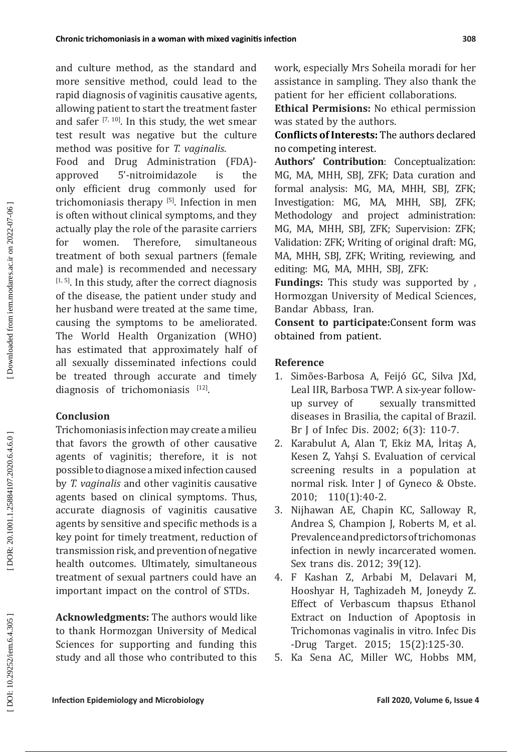and culture method, as the standard and more sensitive method, could lead to the rapid diagnosis of vaginitis causative agents, allowing patient to start the treatment faster and safer  $[7, 10]$ . In this study, the wet smear test result was negative but the culture method was positive for *T. vaginalis*.

Food and Drug Administration (FDA) approved 5'-nitroimidazole is the only efficient drug commonly used for trichomoniasis therapy [5]. Infection in men is often without clinical symptoms, and they actually play the role of the parasite carriers<br>for women. Therefore. simultaneous for women. Therefore, simultaneous treatment of both sexual partners (female and male) is recommended and necessary  $[1, 5]$ . In this study, after the correct diagnosis of the disease, the patient under study and her husband were treated at the same time, causing the symptoms to be ameliorated. The World Health Organization (WHO) has estimated that approximately half of all sexually disseminated infections could be treated through accurate and timely diagnosis of trichomoniasis [12].

# **Conclusion**

Trichomoniasis infection may create a milieu that favors the growth of other causative agents of vaginitis; therefore, it is not possible to diagnose a mixed infection caused by *T. vaginalis* and other vaginitis causative agents based on clinical symptoms. Thus, accurate diagnosis of vaginitis causative agents by sensitive and specific methods is a key point for timely treatment, reduction of transmission risk, and prevention of negative health outcomes. Ultimately, simultaneous treatment of sexual partners could have an important impact on the control of STDs.

**Acknowledgments:** The authors would like to thank Hormozgan University of Medical Sciences for supporting and funding this study and all those who contributed to this work, especially Mrs Soheila moradi for her assistance in sampling. They also thank the patient for her efficient collaborations.

**Ethical Permisions:** No ethical permission was stated by the authors.

**Conflicts of Interests:** The authors declared no competing interest.

**Authors' Contribution**: Conceptualization: MG, MA, MHH, SBJ, ZFK; Data curation and formal analysis: MG, MA, MHH, SBJ, ZFK; Investigation: MG, MA, MHH, SBJ, ZFK; Methodology and project administration: MG, MA, MHH, SBJ, ZFK; Supervision: ZFK; Validation: ZFK; Writing of original draft: MG, MA, MHH, SBJ, ZFK; Writing, reviewing, and editing: MG, MA, MHH, SBJ, ZFK:

**Fundings:** This study was supported by , Hormozgan University of Medical Sciences, Bandar Abbass, Iran.

**Consent to participate:**Consent form was obtained from patient.

## **Reference**

- 1. Simões-Barbosa A, Feijó GC, Silva JXd, Leal IIR, Barbosa TWP. A six-year followup survey of sexually transmitted diseases in Brasilia, the capital of Brazil. Br J of Infec Dis. 2002; 6(3): 110-7.
- 2. Karabulut A, Alan T, Ekiz MA, İritaş A, Kesen Z, Yahşi S. Evaluation of cervical screening results in a population at normal risk. Inter J of Gyneco & Obste. 2010; 110(1):40-2.
- 3. Nijhawan AE, Chapin KC, Salloway R, Andrea S, Champion J, Roberts M, et al. Prevalence and predictors of trichomonas infection in newly incarcerated women. Sex trans dis. 2012; 39(12).
- 4. F Kashan Z, Arbabi M, Delavari M, Hooshyar H, Taghizadeh M, Joneydy Z. Effect of Verbascum thapsus Ethanol Extract on Induction of Apoptosis in Trichomonas vaginalis in vitro. Infec Dis -Drug Target. 2015; 15(2):125-30.
- 5. Ka Sena AC, Miller WC, Hobbs MM,